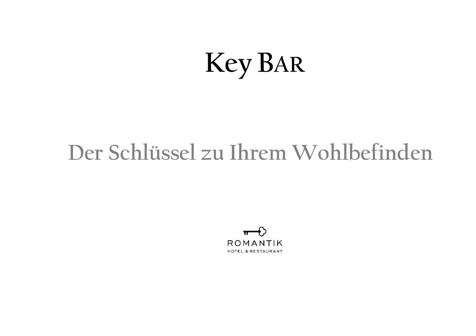# **Key BAR**

# **Der Schlüssel zu Ihrem Wohlbefinden**

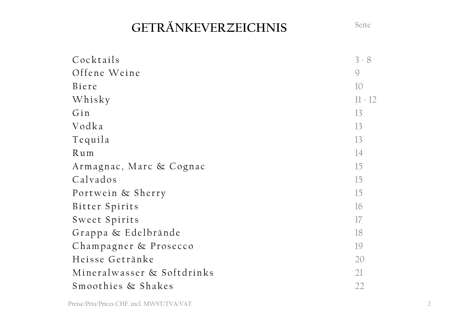# **GETRÄNKEVERZEICHNIS** Seite

| Cocktails                  | $3 - 8$   |
|----------------------------|-----------|
| Offene Weine               | 9         |
| Biere                      | 10        |
| Whisky                     | $11 - 12$ |
| Gin                        | 13        |
| Vodka                      | 13        |
| Tequila                    | 13        |
| Rum                        | 14        |
| Armagnac, Marc & Cognac    | 15        |
| Calvados                   | 15        |
| Portwein & Sherry          | 15        |
| Bitter Spirits             | 16        |
| Sweet Spirits              | 17        |
| Grappa & Edelbrände        | 18        |
| Champagner & Prosecco      | 19        |
| Heisse Getränke            | 20        |
| Mineralwasser & Softdrinks | 21        |
| Smoothies & Shakes         | 22        |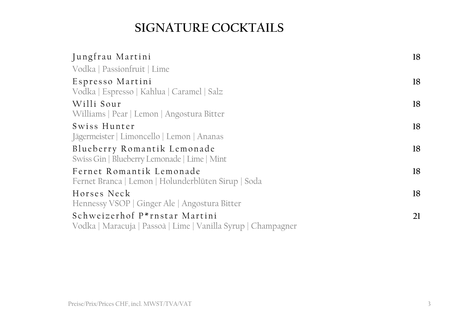# **SIGNATURE COCKTAILS**

| Jungfrau Martini                                                                               | 18 |
|------------------------------------------------------------------------------------------------|----|
| Vodka   Passionfruit   Lime                                                                    |    |
| Espresso Martini<br>Vodka   Espresso   Kahlua   Caramel   Salz                                 | 18 |
| Willi Sour<br>Williams   Pear   Lemon   Angostura Bitter                                       | 18 |
| Swiss Hunter<br>Jägermeister   Limoncello   Lemon   Ananas                                     | 18 |
| Blueberry Romantik Lemonade<br>Swiss Gin   Blueberry Lemonade   Lime   Mint                    | 18 |
| Fernet Romantik Lemonade<br>Fernet Branca   Lemon   Holunderblüten Sirup   Soda                | 18 |
| Horses Neck<br>Hennessy VSOP   Ginger Ale   Angostura Bitter                                   | 18 |
| Schweizerhof P*rnstar Martini<br>Vodka   Maracuja   Passoà   Lime   Vanilla Syrup   Champagner | 21 |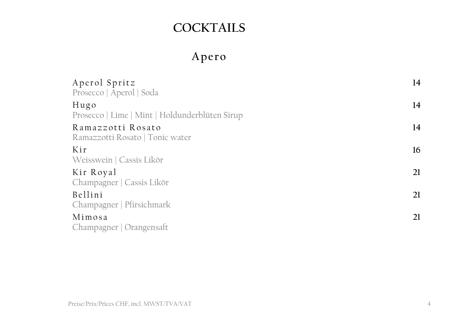# **COCKTAILS**

# **Apero**

| Aperol Spritz<br>Prosecco   Aperol   Soda              | 14 |
|--------------------------------------------------------|----|
| Hugo<br>Prosecco   Lime   Mint   Holdunderblüten Sirup | 14 |
| Ramazzotti Rosato<br>Ramazzotti Rosato   Tonic water   | 14 |
| Kir<br>Weisswein   Cassis Likör                        | 16 |
| Kir Royal<br>Champagner   Cassis Likör                 | 21 |
| Bellini<br>Champagner   Pfirsichmark                   | 21 |
| Mimosa<br>Champagner   Orangensaft                     | 21 |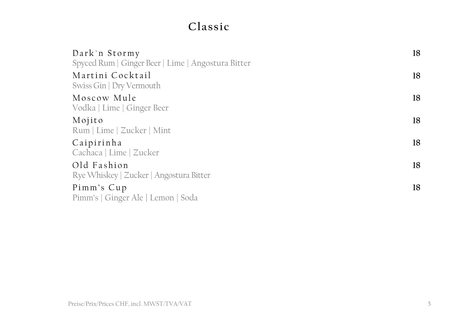### **Classic**

| Dark`n Stormy<br>Spyced Rum   Ginger Beer   Lime   Angostura Bitter | 18 |
|---------------------------------------------------------------------|----|
| Martini Cocktail<br>Swiss Gin   Dry Vermouth                        | 18 |
| Moscow Mule<br>Vodka   Lime   Ginger Beer                           | 18 |
| Mojito<br>Rum   Lime   Zucker   Mint                                | 18 |
| Caipirinha<br>Cachaca   Lime   Zucker                               | 18 |
| Old Fashion<br>Rye Whiskey   Zucker   Angostura Bitter              | 18 |
| Pimm's Cup<br>Pimm's   Ginger Ale   Lemon   Soda                    | 18 |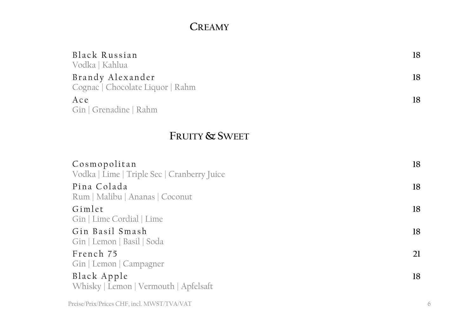#### **CREAMY**

| Black Russian                    | 18 |
|----------------------------------|----|
| Vodka   Kahlua                   |    |
| Brandy Alexander                 | 18 |
| Cognac   Chocolate Liquor   Rahm |    |
| Ace                              | 18 |
| Gin   Grenadine   Rahm           |    |

#### **FRUITY & SWEET**

| Cosmopolitan<br>Vodka   Lime   Triple Sec   Cranberry Juice | 18 |
|-------------------------------------------------------------|----|
| Pina Colada<br>Rum   Malibu   Ananas   Coconut              | 18 |
| Gimlet<br>Gin   Lime Cordial   Lime                         | 18 |
| Gin Basil Smash<br>Gin   Lemon   Basil   Soda               | 18 |
| French 75<br>Gin   Lemon   Campagner                        | 21 |
| Black Apple<br>Whisky   Lemon   Vermouth   Apfelsaft        | 18 |
| Preise/Prix/Prices CHF, incl. MWST/TVA/VAT                  |    |

6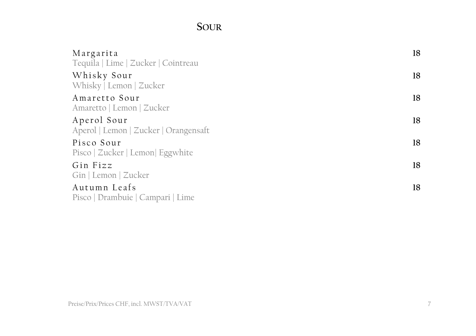#### **SOUR**

| Margarita<br>Tequila   Lime   Zucker   Cointreau     | 18 |
|------------------------------------------------------|----|
| Whisky Sour<br>Whisky   Lemon   Zucker               | 18 |
| Amaretto Sour<br>Amaretto   Lemon   Zucker           | 18 |
| Aperol Sour<br>Aperol   Lemon   Zucker   Orangensaft | 18 |
| Pisco Sour<br>Pisco   Zucker   Lemon  Eggwhite       | 18 |
| Gin Fizz<br>Gin   Lemon   Zucker                     | 18 |
| Autumn Leafs<br>Pisco   Drambuie   Campari   Lime    | 18 |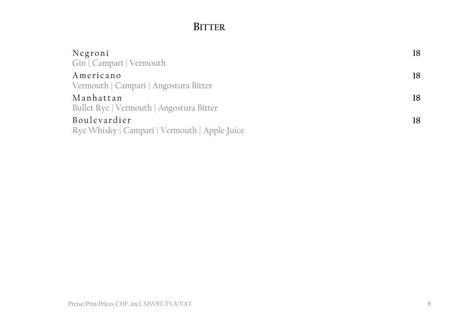#### **BITTER**

| Negroni                                       | 18 |
|-----------------------------------------------|----|
| Gin   Campari   Vermouth                      |    |
| Americano                                     | 18 |
| Vermouth   Campari   Angostura Bitter         |    |
| Manhattan                                     | 18 |
| Bullet Rye   Vermouth   Angostura Bitter      |    |
| Boulevardier                                  | 18 |
| Rye Whisky   Campari   Vermouth   Apple Juice |    |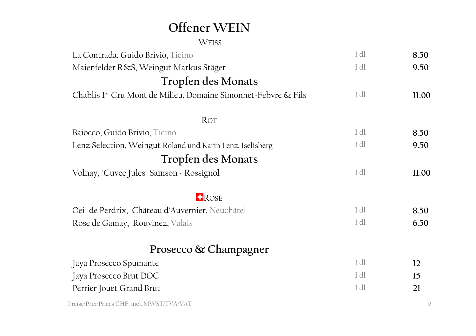# **Offener WEIN**

WEISS

| La Contrada, Guido Brivio, Ticino                              | 1 <sub>d</sub> | 8.50  |
|----------------------------------------------------------------|----------------|-------|
| Maienfelder R&S, Weingut Markus Stäger                         | 1 <sub>d</sub> | 9.50  |
| Tropfen des Monats                                             |                |       |
| Chablis ler Cru Mont de Milieu, Domaine Simonnet-Febvre & Fils | 1 <sub>d</sub> | 11.00 |
|                                                                |                |       |
| ROT                                                            |                |       |
| Baiocco, Guido Brivio, Ticino                                  | 1 dl           | 8.50  |
| Lenz Selection, Weingut Roland und Karin Lenz, Iselisberg      | 1 dl           | 9.50  |
| Tropfen des Monats                                             |                |       |
| Volnay, "Cuvee Jules" Sainson - Rossignol                      | 1 <sub>d</sub> | 11.00 |
| <b>H</b> ROSÉ                                                  |                |       |
| Oeil de Perdrix, Château d'Auvernier, Neuchâtel                | 1 dl           | 8.50  |
| Rose de Gamay, Rouvinez, Valais                                | 1 dl           | 6.50  |
| Prosecco & Champagner                                          |                |       |
| Jaya Prosecco Spumante                                         | 1 <sub>d</sub> | 12    |
| Jaya Prosecco Brut DOC                                         | 1 dl           | 15    |
| Perrier Jouët Grand Brut                                       | 1 dl           | 21    |
| Preise/Prix/Prices CHF, incl. MWST/TVA/VAT                     |                | ς     |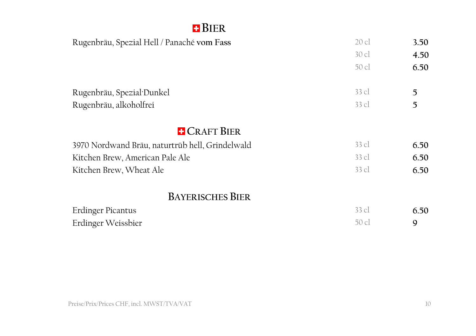#### **BIER**

| Rugenbräu, Spezial Hell / Panaché vom Fass      | $20$ cl | 3.50 |
|-------------------------------------------------|---------|------|
|                                                 | $30$ cl | 4.50 |
|                                                 | 50 cl   | 6.50 |
|                                                 |         |      |
| Rugenbräu, Spezial Dunkel                       | $33$ cl | 5    |
| Rugenbräu, alkoholfrei                          | 33 cl   | 5    |
|                                                 |         |      |
| <b>E</b> CRAFT BIER                             |         |      |
| 3970 Nordwand Bräu, naturtrüb hell, Grindelwald | $33$ cl | 6.50 |
| Kitchen Brew, American Pale Ale                 | $33$ cl | 6.50 |
| Kitchen Brew, Wheat Ale                         | $33$ cl | 6.50 |
|                                                 |         |      |
| <b>BAYERISCHES BIER</b>                         |         |      |
| Erdinger Picantus                               | $33$ cl | 6.50 |
| Erdinger Weissbier                              | 50 cl   | 9    |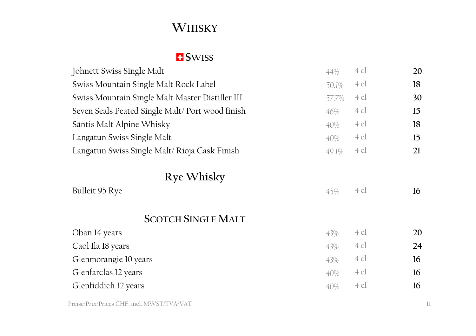# **WHISKY**

#### **E** SWISS

| 44%   | 4 cl | 20 |
|-------|------|----|
| 50.1% | 4 cl | 18 |
| 57.7% | 4 cl | 30 |
| 46%   | 4 cl | 15 |
| 40%   | 4 cl | 18 |
| 40%   | 4 cl | 15 |
| 49.1% | 4 cl | 21 |
|       |      |    |
| 45%   | 4 cl | 16 |
|       |      |    |
| 43%   | 4 cl | 20 |
| 43%   | 4 cl | 24 |
| 43%   | 4 cl | 16 |
| 40%   | 4 cl | 16 |
| 40%   | 4 cl | 16 |
|       |      |    |

Preise/Prix/Prices CHF, incl. MWST/TVA/VAT 11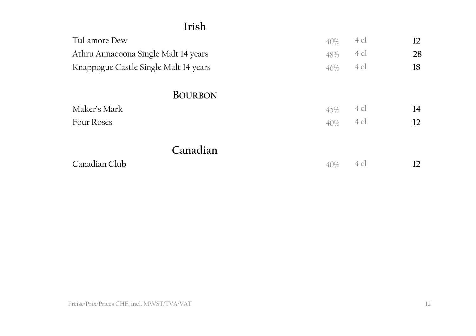#### **Irish**

| Tullamore Dew                         | 40% | 4 cl | 12 |
|---------------------------------------|-----|------|----|
| Athru Annacoona Single Malt 14 years  | 48% | 4 cl | 28 |
| Knappogue Castle Single Malt 14 years | 46% | 4 cl | 18 |
| <b>BOURBON</b>                        |     |      |    |
| Maker's Mark                          | 45% | 4 cl | 14 |
| Four Roses                            | 40% | 4 cl | 12 |
| Canadian                              |     |      |    |
| Canadian Club                         | 40% | 4 cl | 12 |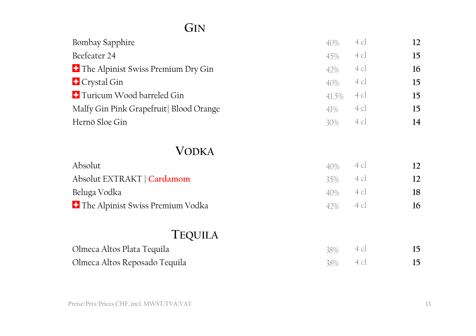# **GIN**

| Bombay Sapphire                           | 40%    | 4 cl | $12 \overline{ }$ |
|-------------------------------------------|--------|------|-------------------|
| Beefeater 24                              | 45%    | 4 cl | 15                |
| <b>The Alpinist Swiss Premium Dry Gin</b> | 42%    | 4 cl | 16                |
| <b>E</b> Crystal Gin                      | 40%    | 4 cl | 15                |
| <b>T</b> Turicum Wood barreled Gin        | 41.5%  | 4 cl | 15                |
| Malfy Gin Pink Grapefruit   Blood Orange  | 41%    | 4 cl | 15                |
| Hernö Sloe Gin                            | $30\%$ | 4 cl | 14                |
|                                           |        |      |                   |
| <b>VODKA</b>                              |        |      |                   |
| Absolut                                   | 40%    | 4 cl | $12 \overline{ }$ |
| Absolut EXTRAKT   Cardamom                | 35%    | 4 cl | 12                |
| Beluga Vodka                              | 40%    | 4 cl | 18                |
| <b>The Alpinist Swiss Premium Vodka</b>   | 42%    | 4 cl | 16                |
|                                           |        |      |                   |
| <b>TEQUILA</b>                            |        |      |                   |
| Olmeca Altos Plata Tequila                | 38%    | 4 cl | 15                |
| Olmeca Altos Reposado Tequila             | 38%    | 4 cl | 15                |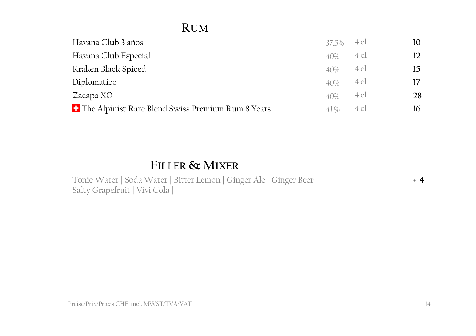#### **RUM**

| Havana Club 3 años                                             | 37.5% 4 cl |      | 10 |
|----------------------------------------------------------------|------------|------|----|
| Havana Club Especial                                           | 40%        | 4 cl | 12 |
| Kraken Black Spiced                                            | 40%        | 4 cl | 15 |
| Diplomatico                                                    | 40%        | 4 cl | 17 |
| Zacapa XO                                                      | 40%        | 4 cl | 28 |
| <sup>1</sup> The Alpinist Rare Blend Swiss Premium Rum 8 Years | 41%        | 4 cl | 16 |

#### **FILLER & MIXER**

Tonic Water | Soda Water | Bitter Lemon | Ginger Ale | Ginger Beer Salty Grapefruit | Vivi Cola |

**+ 4**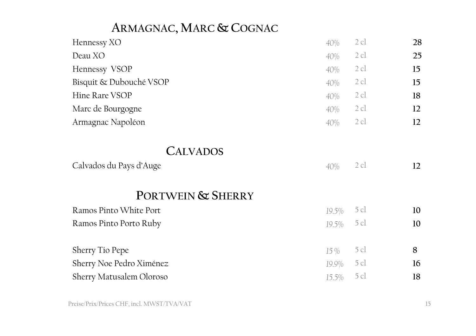### **ARMAGNAC, MARC & COGNAC**

| Hennessy XO                                                     | 40%    | 2cl    | 28 |
|-----------------------------------------------------------------|--------|--------|----|
| Deau XO                                                         | 40%    | $2$ cl | 25 |
| Hennessy VSOP                                                   | 40%    | $2$ cl | 15 |
| Bisquit & Dubouché VSOP                                         | 40%    | $2$ cl | 15 |
| Hine Rare VSOP                                                  | 40%    | $2$ cl | 18 |
| Marc de Bourgogne                                               | 40%    | $2$ cl | 12 |
| Armagnac Napoléon                                               | 40%    | 2cl    | 12 |
| <b>CALVADOS</b><br>Calvados du Pays d'Auge<br>PORTWEIN & SHERRY | 40%    | 2cl    | 12 |
|                                                                 |        |        |    |
| Ramos Pinto White Port                                          | 19.5%  | 5 cl   | 10 |
| Ramos Pinto Porto Ruby                                          | 19.5%  | 5 cl   | 10 |
| Sherry Tio Pepe                                                 | $15\%$ | 5 cl   | 8  |
| Sherry Noe Pedro Ximénez                                        | 19.9%  | 5 cl   | 16 |
| Sherry Matusalem Oloroso                                        | 15.5%  | 5 cl   | 18 |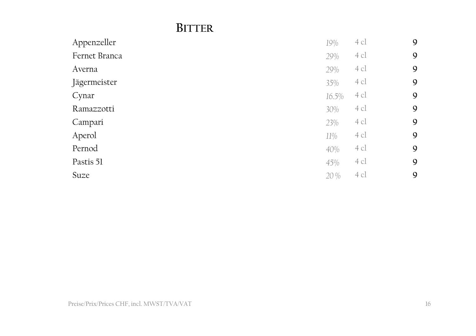#### **BITTER**

| Appenzeller   | 19%   | $4$ cl         | $\mathbf{9}$ |
|---------------|-------|----------------|--------------|
| Fernet Branca | 29%   | $4$ cl         | $\mathbf{9}$ |
| Averna        | 29%   | 4 cl           | 9            |
| Jägermeister  | 35%   | $4$ cl         | 9            |
| Cynar         | 16.5% | $4$ cl         | $\mathbf{9}$ |
| Ramazzotti    | 30%   | $4$ cl         | $\mathbf{9}$ |
| Campari       | 23%   | $4 \text{ cl}$ | 9            |
| Aperol        | 11%   | 4 cl           | $\mathbf{9}$ |
| Pernod        | 40%   | $4$ cl         | 9            |
| Pastis 51     | 45%   | 4 cl           | $\mathbf{9}$ |
| Suze          | 20 %  | 4cl            | 9            |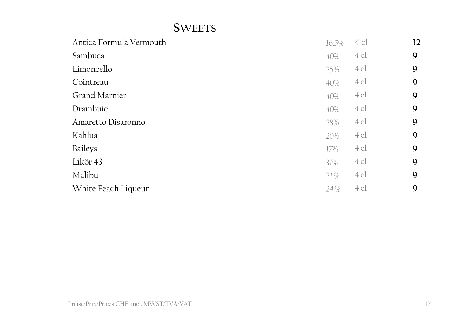#### **SWEETS**

| Antica Formula Vermouth | 16.5% | 4 cl | 12 |
|-------------------------|-------|------|----|
| Sambuca                 | 40%   | 4 cl | 9  |
| Limoncello              | 25%   | 4 cl | 9  |
| Cointreau               | 40%   | 4 cl | 9  |
| Grand Marnier           | 40%   | 4 cl | 9  |
| Drambuie                | 40%   | 4 cl | 9  |
| Amaretto Disaronno      | 28%   | 4 cl | 9  |
| Kahlua                  | 20%   | 4 cl | 9  |
| <b>Baileys</b>          | 17%   | 4 cl | 9  |
| Likör 43                | 31%   | 4 cl | 9  |
| Malibu                  | 21 %  | 4 cl | 9  |
| White Peach Liqueur     | 24 %  | 4 cl | 9  |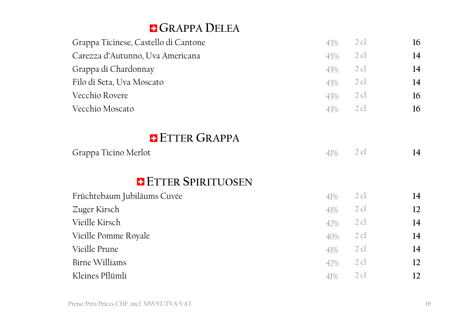#### **GRAPPA DELEA**

| Grappa Ticinese, Castello di Cantone | 43% | $2$ cl | 16 |
|--------------------------------------|-----|--------|----|
| Carezza d'Autunno, Uva Americana     | 45% | $2$ cl | 14 |
| Grappa di Chardonnay                 | 43% | $2$ cl | 14 |
| Filo di Seta, Uva Moscato            | 43% | $2$ cl | 14 |
| Vecchio Rovere                       | 43% | $2$ cl | 16 |
| Vecchio Moscato                      | 43% | 2cl    | 16 |
|                                      |     |        |    |
| <b>E</b> ETTER GRAPPA                |     |        |    |
| Grappa Ticino Merlot                 | 41% | $2$ cl | 14 |
| <b>E</b> ETTER SPIRITUOSEN           |     |        |    |
| Früchtebaum Jubiläums Cuvée          | 41% | 2 cl   | 14 |
| Zuger Kirsch                         | 41% | 2 cl   | 12 |
| Vieille Kirsch                       | 42% | $2$ cl | 14 |
| Vieille Pomme Royale                 | 40% | $2$ cl | 14 |
| Vieille Prune                        | 41% | 2 cl   | 14 |
| <b>Birne Williams</b>                | 42% | $2$ cl | 12 |
| Kleines Pflümli                      | 41% | 2 cl   | 12 |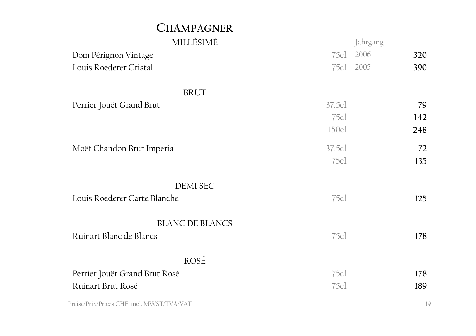#### **CHAMPAGNER**

| MILLÈSIMÈ                                  |        | Jahrgang |     |
|--------------------------------------------|--------|----------|-----|
| Dom Pérignon Vintage                       | 75cl   | 2006     | 320 |
| Louis Roederer Cristal                     | 75cl   | 2005     | 390 |
| <b>BRUT</b>                                |        |          |     |
|                                            |        |          |     |
| Perrier Jouët Grand Brut                   | 37.5cl |          | 79  |
|                                            | 75c1   |          | 142 |
|                                            | 150cl  |          | 248 |
| Moët Chandon Brut Imperial                 | 37.5cl |          | 72  |
|                                            | 75c    |          | 135 |
|                                            |        |          |     |
| <b>DEMI SEC</b>                            |        |          |     |
| Louis Roederer Carte Blanche               | 75c1   |          | 125 |
|                                            |        |          |     |
| <b>BLANC DE BLANCS</b>                     |        |          |     |
| Ruinart Blanc de Blancs                    | 75c    |          | 178 |
|                                            |        |          |     |
| ROSÉ                                       |        |          |     |
| Perrier Jouët Grand Brut Rosé              | 75cl   |          | 178 |
|                                            |        |          |     |
| Ruinart Brut Rosé                          | 75c    |          | 189 |
| Preise/Prix/Prices CHF, incl. MWST/TVA/VAT |        |          | 19  |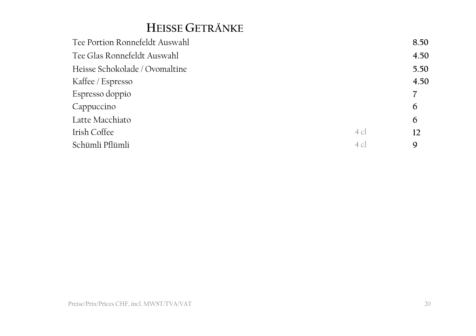### **HEISSE GETRÄNKE**

| Tee Portion Ronnefeldt Auswahl |        | 8.50 |
|--------------------------------|--------|------|
| Tee Glas Ronnefeldt Auswahl    |        | 4.50 |
| Heisse Schokolade / Ovomaltine |        | 5.50 |
| Kaffee / Espresso              |        | 4.50 |
| Espresso doppio                |        |      |
| Cappuccino                     |        | 6    |
| Latte Macchiato                |        | 6    |
| Irish Coffee                   | $4$ cl | 12   |
| Schümli Pflümli                | $4$ c  | 9    |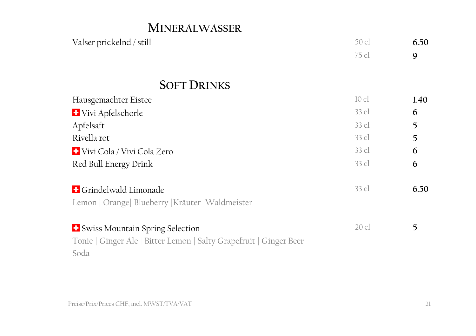#### **MINERALWASSER**

| Valser prickelnd / still                                           | 50 cl           | 6.50 |
|--------------------------------------------------------------------|-----------------|------|
|                                                                    | 75 cl           | 9    |
| <b>SOFT DRINKS</b>                                                 |                 |      |
| Hausgemachter Eistee                                               | $10 \text{ cl}$ | 1.40 |
| <b>+</b> Vivi Apfelschorle                                         | 33 cl           | 6    |
| Apfelsaft                                                          | 33 cl           | 5    |
| Rivella rot                                                        | 33 cl           | 5    |
| + Vivi Cola / Vivi Cola Zero                                       | $33 \,$ cl      | 6    |
|                                                                    | 33 cl           |      |
| Red Bull Energy Drink                                              |                 | 6    |
| <b>E</b> Grindelwald Limonade                                      | 33 cl           | 6.50 |
| Lemon   Orange   Blueberry   Kräuter   Waldmeister                 |                 |      |
|                                                                    |                 |      |
| <sup>1</sup> Swiss Mountain Spring Selection                       | $20$ cl         | 5    |
| Tonic   Ginger Ale   Bitter Lemon   Salty Grapefruit   Ginger Beer |                 |      |
| Soda                                                               |                 |      |